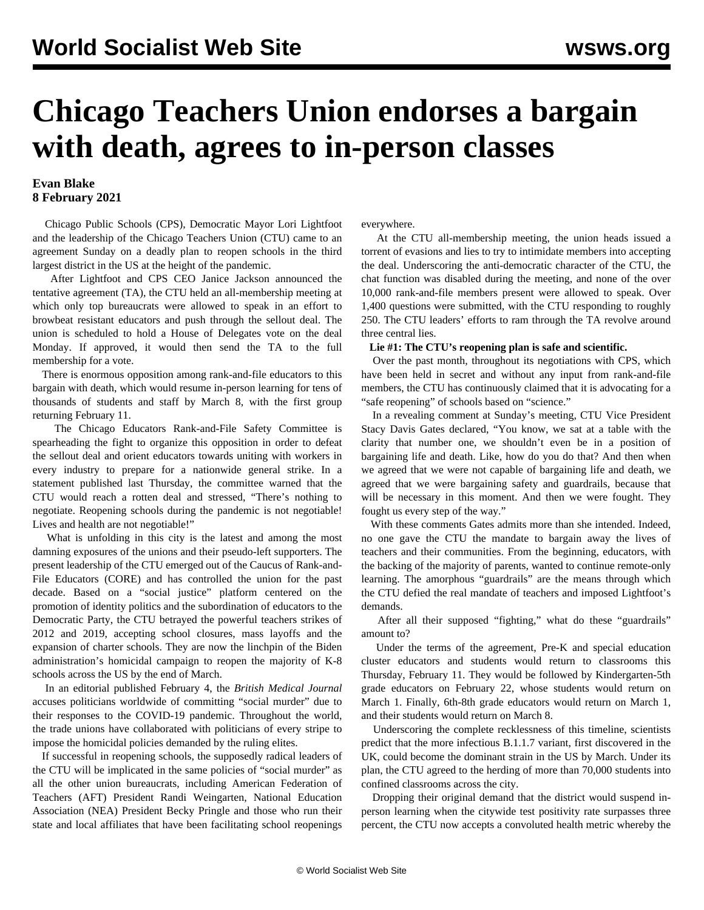# **Chicago Teachers Union endorses a bargain with death, agrees to in-person classes**

# **Evan Blake 8 February 2021**

 Chicago Public Schools (CPS), Democratic Mayor Lori Lightfoot and the leadership of the Chicago Teachers Union (CTU) came to an agreement Sunday on a deadly plan to reopen schools in the third largest district in the US at the height of the pandemic.

 After Lightfoot and CPS CEO Janice Jackson announced the tentative agreement (TA), the CTU held an all-membership meeting at which only top bureaucrats were allowed to speak in an effort to browbeat resistant educators and push through the sellout deal. The union is scheduled to hold a House of Delegates vote on the deal Monday. If approved, it would then send the TA to the full membership for a vote.

 There is enormous opposition among rank-and-file educators to this bargain with death, which would resume in-person learning for tens of thousands of students and staff by March 8, with the first group returning February 11.

 The [Chicago Educators Rank-and-File Safety Committee](/en/articles/2021/01/21/chic-j21.html) is spearheading the fight to organize this opposition in order to defeat the sellout deal and orient educators towards uniting with workers in every industry to prepare for a nationwide general strike. In a [statement published last Thursday](/en/articles/2021/02/04/chi-f04.html), the committee warned that the CTU would reach a rotten deal and stressed, "There's nothing to negotiate. Reopening schools during the pandemic is not negotiable! Lives and health are not negotiable!"

 What is unfolding in this city is the latest and among the most damning exposures of the unions and their pseudo-left supporters. The present leadership of the CTU emerged out of the Caucus of Rank-and-File Educators (CORE) and has controlled the union for the past decade. Based on a "social justice" platform centered on the promotion of identity politics and the subordination of educators to the Democratic Party, the CTU betrayed the powerful teachers strikes of [2012](/en/articles/2012/09/chic-s21.html) and [2019](/en/articles/2019/11/01/chic-n01.html), accepting [school closures, mass layoffs](/en/articles/2013/09/19/chic-s19.html) and the expansion of charter schools. They are now the linchpin of the Biden administration's homicidal campaign to reopen the majority of K-8 schools across the US by the end of March.

 In an editorial published February 4, the *British Medical Journal* accuses politicians worldwide of committing "[social murder](/en/articles/2021/02/08/pers-f08.html)" due to their responses to the COVID-19 pandemic. Throughout the world, the trade unions have collaborated with politicians of every stripe to impose the homicidal policies demanded by the ruling elites.

 If successful in reopening schools, the supposedly radical leaders of the CTU will be implicated in the same policies of "social murder" as [all the other union bureaucrats,](/en/articles/2020/07/14/educ-j14.html) including American Federation of Teachers (AFT) President Randi Weingarten, National Education Association (NEA) President Becky Pringle and those who run their state and local affiliates that have been facilitating school reopenings everywhere.

 At the CTU all-membership meeting, the union heads issued a torrent of evasions and lies to try to intimidate members into accepting the deal. Underscoring the anti-democratic character of the CTU, the chat function was disabled during the meeting, and none of the over 10,000 rank-and-file members present were allowed to speak. Over 1,400 questions were submitted, with the CTU responding to roughly 250. The CTU leaders' efforts to ram through the TA revolve around three central lies.

#### **Lie #1: The CTU's reopening plan is safe and scientific.**

 Over the past month, throughout its negotiations with CPS, which have been [held in secret](/en/articles/2021/02/04/chgo-f04.html) and without any input from rank-and-file members, the CTU has continuously claimed that it is advocating for a "safe reopening" of schools based on "science."

 In a revealing comment at Sunday's meeting, CTU Vice President Stacy Davis Gates declared, "You know, we sat at a table with the clarity that number one, we shouldn't even be in a position of bargaining life and death. Like, how do you do that? And then when we agreed that we were not capable of bargaining life and death, we agreed that we were bargaining safety and guardrails, because that will be necessary in this moment. And then we were fought. They fought us every step of the way."

 With these comments Gates admits more than she intended. Indeed, no one gave the CTU the mandate to bargain away the lives of teachers and their communities. From the beginning, educators, with the backing of the majority of parents, wanted to continue remote-only learning. The amorphous "guardrails" are the means through which the CTU defied the real mandate of teachers and imposed Lightfoot's demands.

 After all their supposed "fighting," what do these "guardrails" amount to?

 Under the terms of the agreement, Pre-K and special education cluster educators and students would return to classrooms this Thursday, February 11. They would be followed by Kindergarten-5th grade educators on February 22, whose students would return on March 1. Finally, 6th-8th grade educators would return on March 1, and their students would return on March 8.

 Underscoring the complete recklessness of this timeline, scientists predict that the more infectious B.1.1.7 variant, first discovered in the UK, could become the dominant strain in the US by March. Under its plan, the CTU agreed to the herding of more than 70,000 students into confined classrooms across the city.

 Dropping their original demand that the district would suspend inperson learning when the citywide test positivity rate surpasses three percent, the CTU now accepts a convoluted health metric whereby the